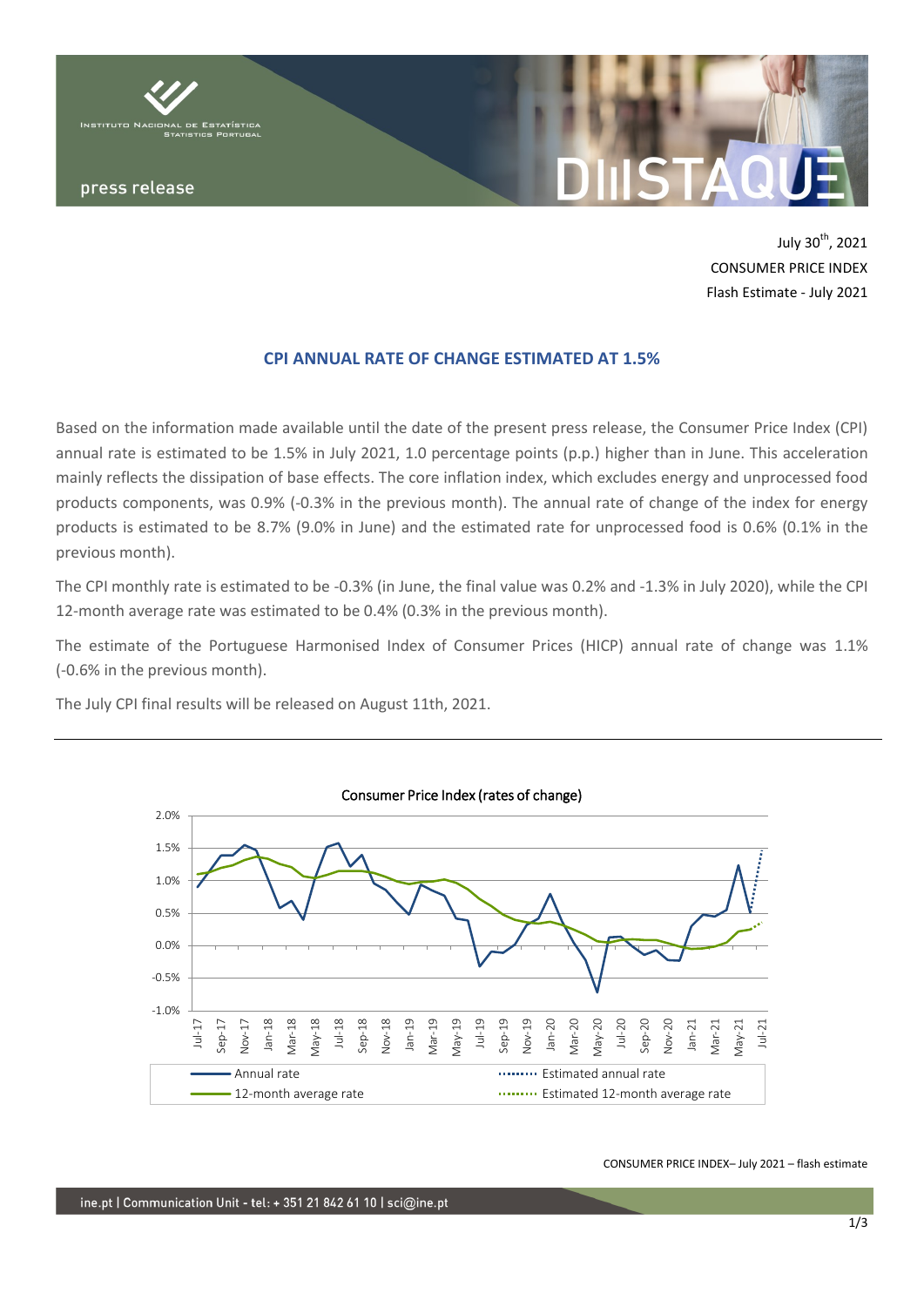

July 30<sup>th</sup>, 2021 CONSUMER PRICE INDEX Flash Estimate - July 2021

# **CPI ANNUAL RATE OF CHANGE ESTIMATED AT 1.5%**

Based on the information made available until the date of the present press release, the Consumer Price Index (CPI) annual rate is estimated to be 1.5% in July 2021, 1.0 percentage points (p.p.) higher than in June. This acceleration mainly reflects the dissipation of base effects. The core inflation index, which excludes energy and unprocessed food products components, was 0.9% (-0.3% in the previous month). The annual rate of change of the index for energy products is estimated to be 8.7% (9.0% in June) and the estimated rate for unprocessed food is 0.6% (0.1% in the previous month).

The CPI monthly rate is estimated to be -0.3% (in June, the final value was 0.2% and -1.3% in July 2020), while the CPI 12-month average rate was estimated to be 0.4% (0.3% in the previous month).

The estimate of the Portuguese Harmonised Index of Consumer Prices (HICP) annual rate of change was 1.1% (-0.6% in the previous month).

The July CPI final results will be released on August 11th, 2021.



CONSUMER PRICE INDEX– July 2021 – flash estimate

ine.pt | Communication Unit - tel: + 351 21 842 61 10 | sci@ine.pt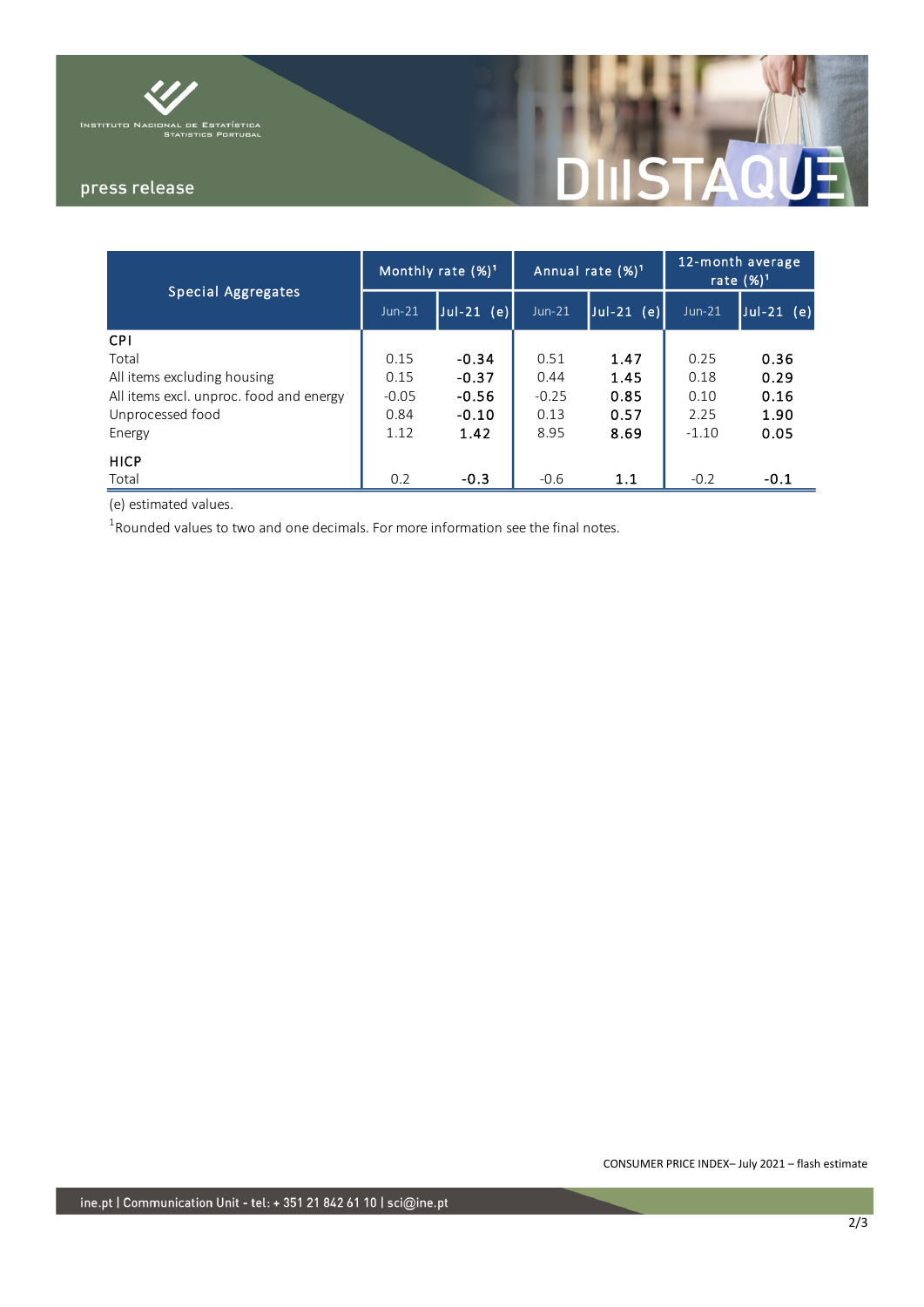

press release

# STAQI a,

| <b>Special Aggregates</b>               | Monthly rate $(%)^1$ |                 | Annual rate $(\%)^1$ |               | 12-month average<br>rate $(\%)^1$ |                |
|-----------------------------------------|----------------------|-----------------|----------------------|---------------|-----------------------------------|----------------|
|                                         | $Jun-21$             | $Jul-21$<br>(e) | $Jun-21$             | Jul-21<br>(e) | $Jun-21$                          | $ Jul-21 (e) $ |
| <b>CPI</b>                              |                      |                 |                      |               |                                   |                |
| Total                                   | 0.15                 | $-0.34$         | 0.51                 | 1.47          | 0.25                              | 0.36           |
| All items excluding housing             | 0.15                 | $-0.37$         | 0.44                 | 1.45          | 0.18                              | 0.29           |
| All items excl. unproc. food and energy | $-0.05$              | $-0.56$         | $-0.25$              | 0.85          | 0.10                              | 0.16           |
| Unprocessed food                        | 0.84                 | $-0.10$         | 0.13                 | 0.57          | 2.25                              | 1.90           |
| Energy                                  | 1.12                 | 1.42            | 8.95                 | 8.69          | $-1.10$                           | 0.05           |
| <b>HICP</b>                             |                      |                 |                      |               |                                   |                |
| Total                                   | 0.2                  | $-0.3$          | $-0.6$               | 1.1           | $-0.2$                            | $-0.1$         |

(e) estimated values.

 $^1$ Rounded values to two and one decimals. For more information see the final notes.

CONSUMER PRICE INDEX– July 2021 – flash estimate